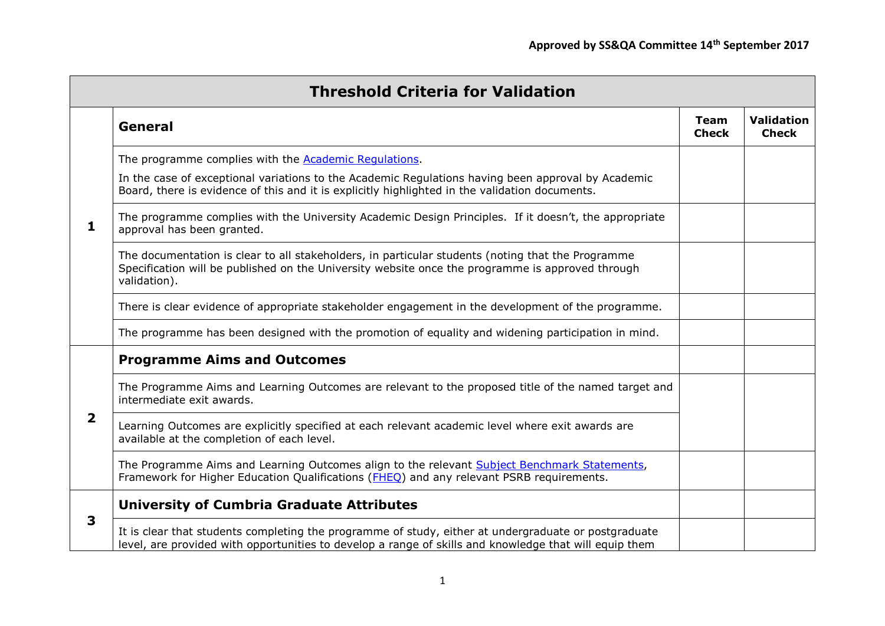| <b>Threshold Criteria for Validation</b> |                                                                                                                                                                                                                                                                       |                             |                                   |  |
|------------------------------------------|-----------------------------------------------------------------------------------------------------------------------------------------------------------------------------------------------------------------------------------------------------------------------|-----------------------------|-----------------------------------|--|
| 1                                        | General                                                                                                                                                                                                                                                               | <b>Team</b><br><b>Check</b> | <b>Validation</b><br><b>Check</b> |  |
|                                          | The programme complies with the <b>Academic Regulations</b> .<br>In the case of exceptional variations to the Academic Regulations having been approval by Academic<br>Board, there is evidence of this and it is explicitly highlighted in the validation documents. |                             |                                   |  |
|                                          | The programme complies with the University Academic Design Principles. If it doesn't, the appropriate<br>approval has been granted.                                                                                                                                   |                             |                                   |  |
|                                          | The documentation is clear to all stakeholders, in particular students (noting that the Programme<br>Specification will be published on the University website once the programme is approved through<br>validation).                                                 |                             |                                   |  |
|                                          | There is clear evidence of appropriate stakeholder engagement in the development of the programme.                                                                                                                                                                    |                             |                                   |  |
|                                          | The programme has been designed with the promotion of equality and widening participation in mind.                                                                                                                                                                    |                             |                                   |  |
| $\mathbf{2}$                             | <b>Programme Aims and Outcomes</b>                                                                                                                                                                                                                                    |                             |                                   |  |
|                                          | The Programme Aims and Learning Outcomes are relevant to the proposed title of the named target and<br>intermediate exit awards.                                                                                                                                      |                             |                                   |  |
|                                          | Learning Outcomes are explicitly specified at each relevant academic level where exit awards are<br>available at the completion of each level.                                                                                                                        |                             |                                   |  |
|                                          | The Programme Aims and Learning Outcomes align to the relevant Subject Benchmark Statements,<br>Framework for Higher Education Qualifications (FHEQ) and any relevant PSRB requirements.                                                                              |                             |                                   |  |
| 3                                        | <b>University of Cumbria Graduate Attributes</b>                                                                                                                                                                                                                      |                             |                                   |  |
|                                          | It is clear that students completing the programme of study, either at undergraduate or postgraduate<br>level, are provided with opportunities to develop a range of skills and knowledge that will equip them                                                        |                             |                                   |  |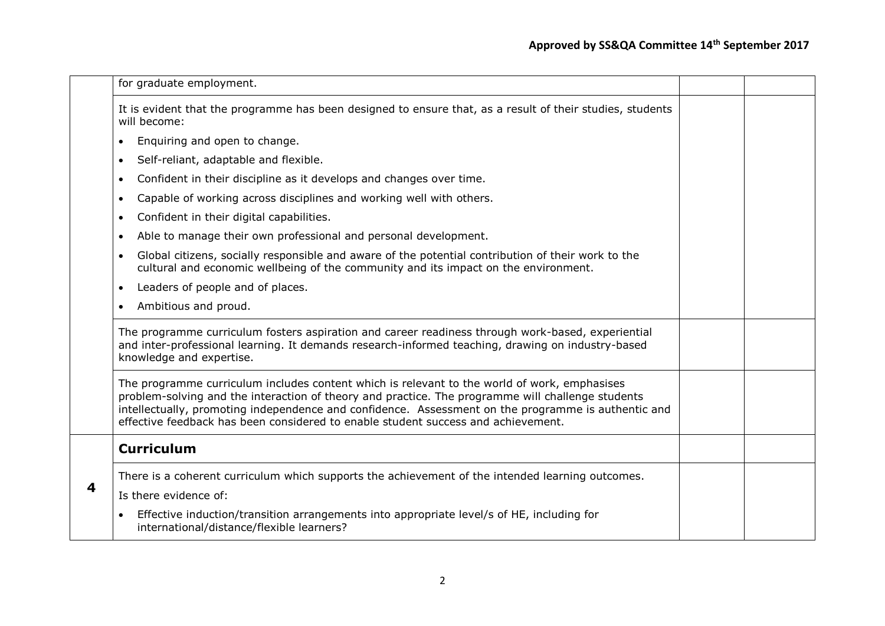|   | for graduate employment.                                                                                                                                                                                                                                                                                                                                                                      |  |
|---|-----------------------------------------------------------------------------------------------------------------------------------------------------------------------------------------------------------------------------------------------------------------------------------------------------------------------------------------------------------------------------------------------|--|
|   | It is evident that the programme has been designed to ensure that, as a result of their studies, students<br>will become:                                                                                                                                                                                                                                                                     |  |
|   | Enquiring and open to change.<br>$\bullet$                                                                                                                                                                                                                                                                                                                                                    |  |
|   | Self-reliant, adaptable and flexible.<br>$\bullet$                                                                                                                                                                                                                                                                                                                                            |  |
|   | Confident in their discipline as it develops and changes over time.<br>$\bullet$                                                                                                                                                                                                                                                                                                              |  |
|   | Capable of working across disciplines and working well with others.<br>$\bullet$                                                                                                                                                                                                                                                                                                              |  |
|   | Confident in their digital capabilities.<br>$\bullet$                                                                                                                                                                                                                                                                                                                                         |  |
|   | Able to manage their own professional and personal development.<br>$\bullet$                                                                                                                                                                                                                                                                                                                  |  |
|   | Global citizens, socially responsible and aware of the potential contribution of their work to the<br>$\bullet$<br>cultural and economic wellbeing of the community and its impact on the environment.                                                                                                                                                                                        |  |
|   | Leaders of people and of places.<br>$\bullet$                                                                                                                                                                                                                                                                                                                                                 |  |
|   | Ambitious and proud.<br>$\bullet$                                                                                                                                                                                                                                                                                                                                                             |  |
|   | The programme curriculum fosters aspiration and career readiness through work-based, experiential<br>and inter-professional learning. It demands research-informed teaching, drawing on industry-based<br>knowledge and expertise.                                                                                                                                                            |  |
|   | The programme curriculum includes content which is relevant to the world of work, emphasises<br>problem-solving and the interaction of theory and practice. The programme will challenge students<br>intellectually, promoting independence and confidence. Assessment on the programme is authentic and<br>effective feedback has been considered to enable student success and achievement. |  |
|   | <b>Curriculum</b>                                                                                                                                                                                                                                                                                                                                                                             |  |
| 4 | There is a coherent curriculum which supports the achievement of the intended learning outcomes.                                                                                                                                                                                                                                                                                              |  |
|   | Is there evidence of:                                                                                                                                                                                                                                                                                                                                                                         |  |
|   | Effective induction/transition arrangements into appropriate level/s of HE, including for<br>international/distance/flexible learners?                                                                                                                                                                                                                                                        |  |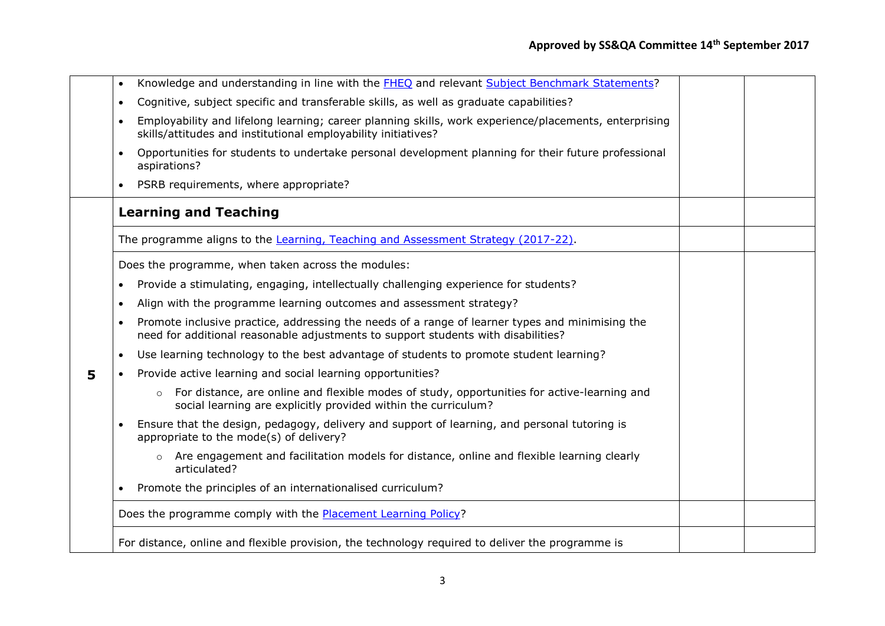|   | $\bullet$ | Knowledge and understanding in line with the FHEQ and relevant Subject Benchmark Statements?                                                                                         |  |
|---|-----------|--------------------------------------------------------------------------------------------------------------------------------------------------------------------------------------|--|
|   | $\bullet$ | Cognitive, subject specific and transferable skills, as well as graduate capabilities?                                                                                               |  |
|   | $\bullet$ | Employability and lifelong learning; career planning skills, work experience/placements, enterprising<br>skills/attitudes and institutional employability initiatives?               |  |
|   | $\bullet$ | Opportunities for students to undertake personal development planning for their future professional<br>aspirations?                                                                  |  |
|   | $\bullet$ | PSRB requirements, where appropriate?                                                                                                                                                |  |
|   |           | <b>Learning and Teaching</b>                                                                                                                                                         |  |
|   |           | The programme aligns to the Learning, Teaching and Assessment Strategy (2017-22).                                                                                                    |  |
|   |           | Does the programme, when taken across the modules:                                                                                                                                   |  |
|   | $\bullet$ | Provide a stimulating, engaging, intellectually challenging experience for students?                                                                                                 |  |
|   | $\bullet$ | Align with the programme learning outcomes and assessment strategy?                                                                                                                  |  |
|   | $\bullet$ | Promote inclusive practice, addressing the needs of a range of learner types and minimising the<br>need for additional reasonable adjustments to support students with disabilities? |  |
|   | $\bullet$ | Use learning technology to the best advantage of students to promote student learning?                                                                                               |  |
| 5 | $\bullet$ | Provide active learning and social learning opportunities?                                                                                                                           |  |
|   |           | For distance, are online and flexible modes of study, opportunities for active-learning and<br>$\circ$<br>social learning are explicitly provided within the curriculum?             |  |
|   | $\bullet$ | Ensure that the design, pedagogy, delivery and support of learning, and personal tutoring is<br>appropriate to the mode(s) of delivery?                                              |  |
|   |           | Are engagement and facilitation models for distance, online and flexible learning clearly<br>$\circ$<br>articulated?                                                                 |  |
|   | $\bullet$ | Promote the principles of an internationalised curriculum?                                                                                                                           |  |
|   |           | Does the programme comply with the <b>Placement Learning Policy?</b>                                                                                                                 |  |
|   |           | For distance, online and flexible provision, the technology required to deliver the programme is                                                                                     |  |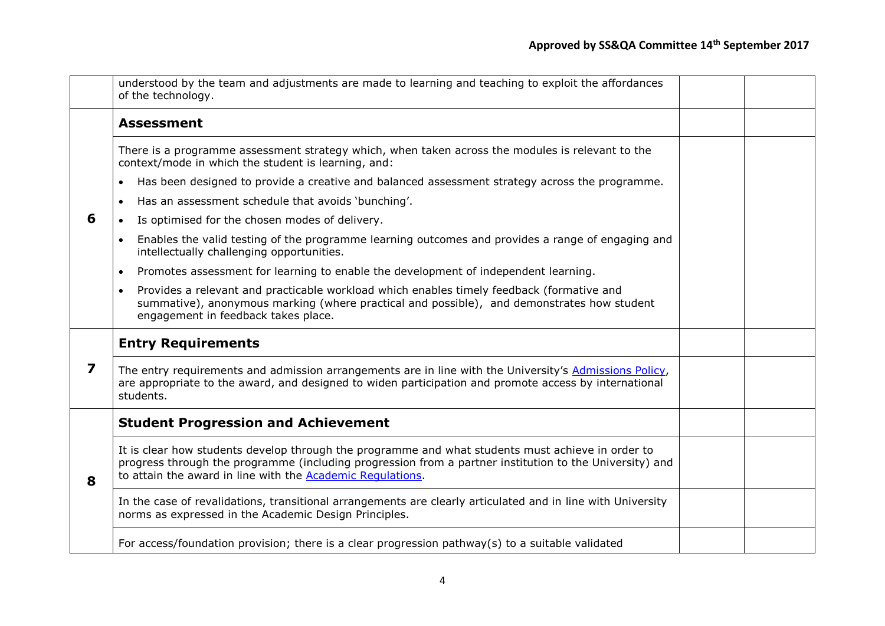|   | understood by the team and adjustments are made to learning and teaching to exploit the affordances<br>of the technology.                                                                                                                                                          |  |
|---|------------------------------------------------------------------------------------------------------------------------------------------------------------------------------------------------------------------------------------------------------------------------------------|--|
| 6 | <b>Assessment</b>                                                                                                                                                                                                                                                                  |  |
|   | There is a programme assessment strategy which, when taken across the modules is relevant to the<br>context/mode in which the student is learning, and:                                                                                                                            |  |
|   | Has been designed to provide a creative and balanced assessment strategy across the programme.<br>$\bullet$                                                                                                                                                                        |  |
|   | Has an assessment schedule that avoids 'bunching'.<br>$\bullet$                                                                                                                                                                                                                    |  |
|   | Is optimised for the chosen modes of delivery.<br>$\bullet$                                                                                                                                                                                                                        |  |
|   | Enables the valid testing of the programme learning outcomes and provides a range of engaging and<br>$\bullet$<br>intellectually challenging opportunities.                                                                                                                        |  |
|   | Promotes assessment for learning to enable the development of independent learning.<br>$\bullet$                                                                                                                                                                                   |  |
|   | Provides a relevant and practicable workload which enables timely feedback (formative and<br>$\bullet$<br>summative), anonymous marking (where practical and possible), and demonstrates how student<br>engagement in feedback takes place.                                        |  |
| 7 | <b>Entry Requirements</b>                                                                                                                                                                                                                                                          |  |
|   | The entry requirements and admission arrangements are in line with the University's Admissions Policy,<br>are appropriate to the award, and designed to widen participation and promote access by international<br>students.                                                       |  |
|   | <b>Student Progression and Achievement</b>                                                                                                                                                                                                                                         |  |
| 8 | It is clear how students develop through the programme and what students must achieve in order to<br>progress through the programme (including progression from a partner institution to the University) and<br>to attain the award in line with the <b>Academic Regulations</b> . |  |
|   | In the case of revalidations, transitional arrangements are clearly articulated and in line with University<br>norms as expressed in the Academic Design Principles.                                                                                                               |  |
|   | For access/foundation provision; there is a clear progression pathway(s) to a suitable validated                                                                                                                                                                                   |  |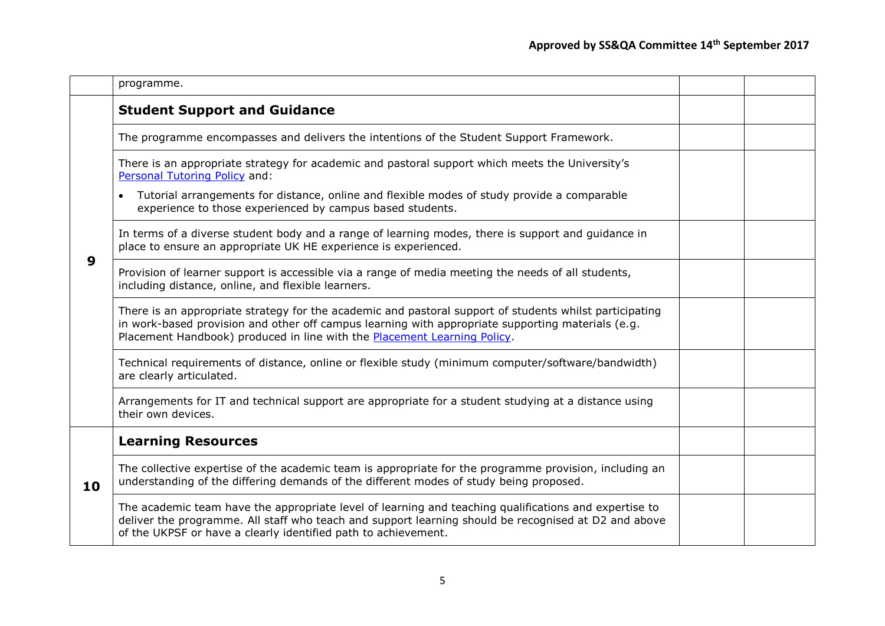|    | programme.                                                                                                                                                                                                                                                                               |  |
|----|------------------------------------------------------------------------------------------------------------------------------------------------------------------------------------------------------------------------------------------------------------------------------------------|--|
|    | <b>Student Support and Guidance</b>                                                                                                                                                                                                                                                      |  |
|    | The programme encompasses and delivers the intentions of the Student Support Framework.                                                                                                                                                                                                  |  |
| 9  | There is an appropriate strategy for academic and pastoral support which meets the University's<br>Personal Tutoring Policy and:                                                                                                                                                         |  |
|    | Tutorial arrangements for distance, online and flexible modes of study provide a comparable<br>experience to those experienced by campus based students.                                                                                                                                 |  |
|    | In terms of a diverse student body and a range of learning modes, there is support and guidance in<br>place to ensure an appropriate UK HE experience is experienced.                                                                                                                    |  |
|    | Provision of learner support is accessible via a range of media meeting the needs of all students,<br>including distance, online, and flexible learners.                                                                                                                                 |  |
|    | There is an appropriate strategy for the academic and pastoral support of students whilst participating<br>in work-based provision and other off campus learning with appropriate supporting materials (e.g.<br>Placement Handbook) produced in line with the Placement Learning Policy. |  |
|    | Technical requirements of distance, online or flexible study (minimum computer/software/bandwidth)<br>are clearly articulated.                                                                                                                                                           |  |
|    | Arrangements for IT and technical support are appropriate for a student studying at a distance using<br>their own devices.                                                                                                                                                               |  |
|    | <b>Learning Resources</b>                                                                                                                                                                                                                                                                |  |
| 10 | The collective expertise of the academic team is appropriate for the programme provision, including an<br>understanding of the differing demands of the different modes of study being proposed.                                                                                         |  |
|    | The academic team have the appropriate level of learning and teaching qualifications and expertise to<br>deliver the programme. All staff who teach and support learning should be recognised at D2 and above<br>of the UKPSF or have a clearly identified path to achievement.          |  |